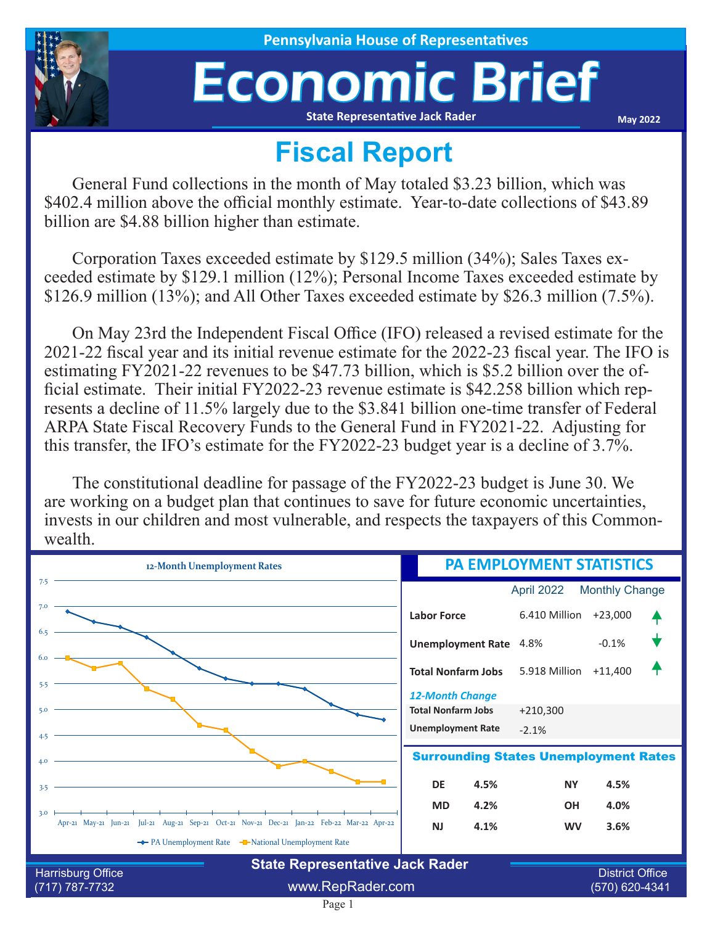

## Economic Brief **State Representative Jack Rader**

**May 2022**

## **Fiscal Report**

General Fund collections in the month of May totaled \$3.23 billion, which was \$402.4 million above the official monthly estimate. Year-to-date collections of \$43.89 billion are \$4.88 billion higher than estimate.

Corporation Taxes exceeded estimate by \$129.5 million (34%); Sales Taxes exceeded estimate by \$129.1 million (12%); Personal Income Taxes exceeded estimate by \$126.9 million (13%); and All Other Taxes exceeded estimate by \$26.3 million (7.5%).

On May 23rd the Independent Fiscal Office (IFO) released a revised estimate for the 2021-22 fiscal year and its initial revenue estimate for the 2022-23 fiscal year. The IFO is estimating FY2021-22 revenues to be \$47.73 billion, which is \$5.2 billion over the official estimate. Their initial FY2022-23 revenue estimate is \$42.258 billion which represents a decline of 11.5% largely due to the \$3.841 billion one-time transfer of Federal ARPA State Fiscal Recovery Funds to the General Fund in FY2021-22. Adjusting for this transfer, the IFO's estimate for the FY2022-23 budget year is a decline of 3.7%.

The constitutional deadline for passage of the FY2022-23 budget is June 30. We are working on a budget plan that continues to save for future economic uncertainties, invests in our children and most vulnerable, and respects the taxpayers of this Commonwealth.

| 12-Month Unemployment Rates                                                                           | <b>PA EMPLOYMENT STATISTICS</b>                                                 |                                          |                       |  |
|-------------------------------------------------------------------------------------------------------|---------------------------------------------------------------------------------|------------------------------------------|-----------------------|--|
| 7.5                                                                                                   |                                                                                 | April 2022                               | <b>Monthly Change</b> |  |
| 7.0                                                                                                   | <b>Labor Force</b>                                                              | 6.410 Million                            | $+23,000$             |  |
| 6.5                                                                                                   | <b>Unemployment Rate</b>                                                        | 4.8%                                     | $-0.1%$               |  |
| 6.0<br>5.5                                                                                            | <b>Total Nonfarm Jobs</b>                                                       | 5.918 Million                            | $+11,400$             |  |
| 5.0<br>4.5                                                                                            | <b>12-Month Change</b><br><b>Total Nonfarm Jobs</b><br><b>Unemployment Rate</b> | $+210,300$<br>$-2.1%$                    |                       |  |
| <b>Surrounding States Unemployment Rates</b><br>4.0                                                   |                                                                                 |                                          |                       |  |
| 3.5                                                                                                   | <b>DE</b><br>4.5%                                                               | <b>NY</b>                                | 4.5%                  |  |
| 3.0<br>Apr-21 May-21 Jun-21 Jul-21 Aug-21 Sep-21 Oct-21 Nov-21 Dec-21 Jan-22 Feb-22 Mar-22 Apr-22     | 4.2%<br><b>MD</b><br>4.1%<br><b>NJ</b>                                          | <b>OH</b><br><b>WV</b>                   | 4.0%<br>3.6%          |  |
| ← PA Unemployment Rate – National Unemployment Rate                                                   |                                                                                 |                                          |                       |  |
| <b>State Representative Jack Rader</b><br>Harrisburg Office<br>www.RepRader.com<br>$(717) 787 - 7732$ |                                                                                 | <b>District Office</b><br>(570) 620-4341 |                       |  |